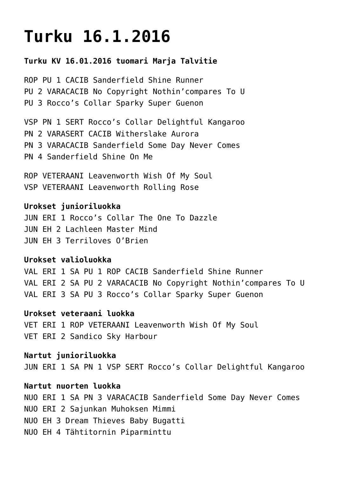# **[Turku 16.1.2016](https://www.cairnterrierikerho.fi/nayttelyt/turku-16-1-2016/)**

## **Turku KV 16.01.2016 tuomari Marja Talvitie**

ROP PU 1 CACIB Sanderfield Shine Runner PU 2 VARACACIB No Copyright Nothin'compares To U PU 3 Rocco's Collar Sparky Super Guenon

VSP PN 1 SERT Rocco's Collar Delightful Kangaroo PN 2 VARASERT CACIB Witherslake Aurora PN 3 VARACACIB Sanderfield Some Day Never Comes PN 4 Sanderfield Shine On Me

ROP VETERAANI Leavenworth Wish Of My Soul VSP VETERAANI Leavenworth Rolling Rose

**Urokset junioriluokka** JUN ERI 1 Rocco's Collar The One To Dazzle JUN EH 2 Lachleen Master Mind JUN EH 3 Terriloves O'Brien

### **Urokset valioluokka**

VAL ERI 1 SA PU 1 ROP CACIB Sanderfield Shine Runner VAL ERI 2 SA PU 2 VARACACIB No Copyright Nothin'compares To U VAL ERI 3 SA PU 3 Rocco's Collar Sparky Super Guenon

**Urokset veteraani luokka** VET ERI 1 ROP VETERAANI Leavenworth Wish Of My Soul VET ERI 2 Sandico Sky Harbour

**Nartut junioriluokka** JUN ERI 1 SA PN 1 VSP SERT Rocco's Collar Delightful Kangaroo

#### **Nartut nuorten luokka**

NUO ERI 1 SA PN 3 VARACACIB Sanderfield Some Day Never Comes NUO ERI 2 Sajunkan Muhoksen Mimmi NUO EH 3 Dream Thieves Baby Bugatti NUO EH 4 Tähtitornin Piparminttu